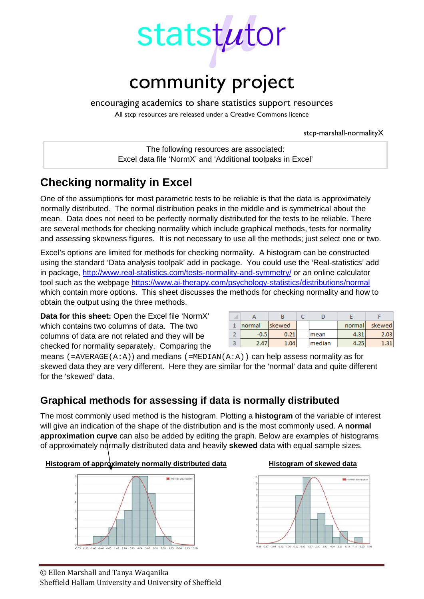

encouraging academics to share statistics support resources

All stcp resources are released under a Creative Commons licence

stcp-marshall-normalityX

The following resources are associated: Excel data file 'NormX' and 'Additional toolpaks in Excel'

# **Checking normality in Excel**

One of the assumptions for most parametric tests to be reliable is that the data is approximately normally distributed. The normal distribution peaks in the middle and is symmetrical about the mean. Data does not need to be perfectly normally distributed for the tests to be reliable. There are several methods for checking normality which include graphical methods, tests for normality and assessing skewness figures. It is not necessary to use all the methods; just select one or two.

Excel's options are limited for methods for checking normality. A histogram can be constructed using the standard 'Data analysis toolpak' add in package. You could use the 'Real-statistics' add in package,<http://www.real-statistics.com/tests-normality-and-symmetry/> or an online calculator tool such as the webpage<https://www.ai-therapy.com/psychology-statistics/distributions/normal> which contain more options. This sheet discusses the methods for checking normality and how to obtain the output using the three methods.

**Data for this sheet:** Open the Excel file 'NormX' which contains two columns of data. The two columns of data are not related and they will be checked for normality separately. Comparing the

|   | normal | skewed        |        | normal | skewed |
|---|--------|---------------|--------|--------|--------|
|   | -0.5   | $0.2^{\circ}$ | mean   | 4.3.   | 2.03   |
| о | 2.47   | 1.04          | median |        |        |

means  $(=\text{AVERAGE}(A:A))$  and medians  $(=\text{MEDIAN}(A:A))$  can help assess normality as for skewed data they are very different. Here they are similar for the 'normal' data and quite different for the 'skewed' data.

# **Graphical methods for assessing if data is normally distributed**

The most commonly used method is the histogram. Plotting a **histogram** of the variable of interest will give an indication of the shape of the distribution and is the most commonly used. A **normal approximation curve** can also be added by editing the graph. Below are examples of histograms of approximately normally distributed data and heavily **skewed** data with equal sample sizes.

### **Histogram of approximately normally distributed data Histogram of skewed data**





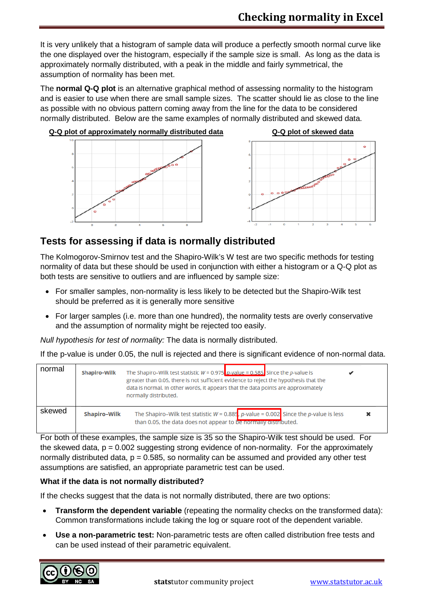It is very unlikely that a histogram of sample data will produce a perfectly smooth normal curve like the one displayed over the histogram, especially if the sample size is small. As long as the data is approximately normally distributed, with a peak in the middle and fairly symmetrical, the assumption of normality has been met.

The **normal Q-Q plot** is an alternative graphical method of assessing normality to the histogram and is easier to use when there are small sample sizes. The scatter should lie as close to the line as possible with no obvious pattern coming away from the line for the data to be considered normally distributed. Below are the same examples of normally distributed and skewed data.



## **Tests for assessing if data is normally distributed**

The Kolmogorov-Smirnov test and the Shapiro-Wilk's W test are two specific methods for testing normality of data but these should be used in conjunction with either a histogram or a Q-Q plot as both tests are sensitive to outliers and are influenced by sample size:

- For smaller samples, non-normality is less likely to be detected but the Shapiro-Wilk test should be preferred as it is generally more sensitive
- For larger samples (i.e. more than one hundred), the normality tests are overly conservative and the assumption of normality might be rejected too easily.

*Null hypothesis for test of normality:* The data is normally distributed.

If the p-value is under 0.05, the null is rejected and there is significant evidence of non-normal data.

| normal | <b>Shapiro-Wilk</b> | The Shapiro–Wilk test statistic $W = 0.975$ p-value = 0.585. Since the p-value is<br>greater than 0.05, there is not sufficient evidence to reject the hypothesis that the<br>data is normal. In other words, it appears that the data points are approximately<br>normally distributed. |  |
|--------|---------------------|------------------------------------------------------------------------------------------------------------------------------------------------------------------------------------------------------------------------------------------------------------------------------------------|--|
| skewed | <b>Shapiro-Wilk</b> | The Shapiro–Wilk test statistic $W = 0.885$ , p-value = 0.002 Since the p-value is less<br>than 0.05, the data does not appear to be normally distributed.                                                                                                                               |  |

For both of these examples, the sample size is 35 so the Shapiro-Wilk test should be used. For the skewed data,  $p = 0.002$  suggesting strong evidence of non-normality. For the approximately normally distributed data,  $p = 0.585$ , so normality can be assumed and provided any other test assumptions are satisfied, an appropriate parametric test can be used.

### **What if the data is not normally distributed?**

If the checks suggest that the data is not normally distributed, there are two options:

- **Transform the dependent variable** (repeating the normality checks on the transformed data): Common transformations include taking the log or square root of the dependent variable.
- **Use a non-parametric test:** Non-parametric tests are often called distribution free tests and can be used instead of their parametric equivalent.

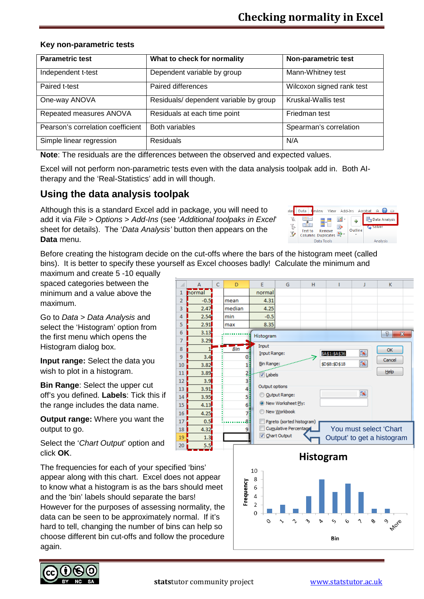#### **Key non-parametric tests**

| <b>Parametric test</b>            | What to check for normality            | Non-parametric test       |
|-----------------------------------|----------------------------------------|---------------------------|
| Independent t-test                | Dependent variable by group            | Mann-Whitney test         |
| Paired t-test                     | Paired differences                     | Wilcoxon signed rank test |
| One-way ANOVA                     | Residuals/ dependent variable by group | Kruskal-Wallis test       |
| Repeated measures ANOVA           | Residuals at each time point           | Friedman test             |
| Pearson's correlation coefficient | <b>Both variables</b>                  | Spearman's correlation    |
| Simple linear regression          | <b>Residuals</b>                       | N/A                       |

**Note**: The residuals are the differences between the observed and expected values.

 $\mathbf 1$ 

 $\overline{2}$ 

 $\overline{3}$ 

 $\overline{4}$ 

 $\overline{5}$ 

 $6\overline{6}$ 

 $\overline{7}$ 

8

 $\overline{9}$ 

Excel will not perform non-parametric tests even with the data analysis toolpak add in. Both AItherapy and the 'Real-Statistics' add in will though.

## **Using the data analysis toolpak**

Although this is a standard Excel add in package, you will need to add it via *File > Options > Add-Ins* (see '*Additional toolpaks in Excel*' sheet for details). The '*Data Analysis'* button then appears on the **Data** menu.



Before creating the histogram decide on the cut-offs where the bars of the histogram meet (called bins). It is better to specify these yourself as Excel chooses badly! Calculate the minimum and

maximum and create 5 -10 equally spaced categories between the minimum and a value above the maximum.

Go to *Data > Data Analysis* and select the 'Histogram' option from the first menu which opens the Histogram dialog box.

**Input range:** Select the data you wish to plot in a histogram.

**Bin Range**: Select the upper cut off's you defined. **Labels**: Tick this if the range includes the data name.

**Output range:** Where you want the output to go.

Select the '*Chart Output*' option and click **OK**.

The frequencies for each of your specified 'bins' appear along with this chart. Excel does not appear to know what a histogram is as the bars should meet and the 'bin' labels should separate the bars! However for the purposes of assessing normality, the data can be seen to be approximately normal. If it's hard to tell, changing the number of bins can help so choose different bin cut-offs and follow the procedure again.





**Bin**